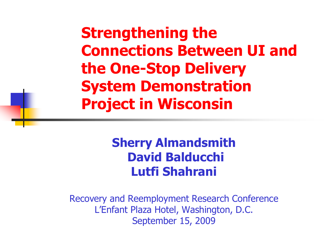**Strengthening the Connections Between UI and the One-Stop Delivery System Demonstration Project in Wisconsin** 

#### **Sherry Almandsmith David Balducchi Lutfi Shahrani**

Recovery and Reemployment Research Conference L'Enfant Plaza Hotel, Washington, D.C. September 15, 2009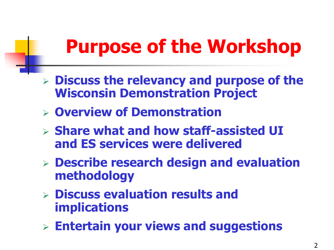### **Purpose of the Workshop**

- **Discuss the relevancy and purpose of the Wisconsin Demonstration Project**
- **Overview of Demonstration**
- **Share what and how staff-assisted UI and ES services were delivered**
- **Describe research design and evaluation methodology**
- **Discuss evaluation results and implications**
- **Entertain your views and suggestions**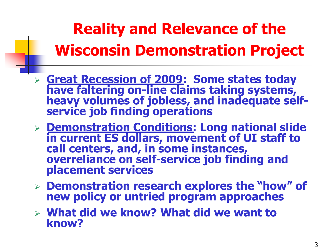### **Reality and Relevance of the Wisconsin Demonstration Project**

- **Great Recession of 2009: Some states today have faltering on-line claims taking systems, heavy volumes of jobless, and inadequate selfservice job finding operations**
- **Demonstration Conditions: Long national slide in current ES dollars, movement of UI staff to call centers, and, in some instances, overreliance on self-service job finding and placement services**
- **Demonstration research explores the "how" of new policy or untried program approaches**
- **What did we know? What did we want to know?**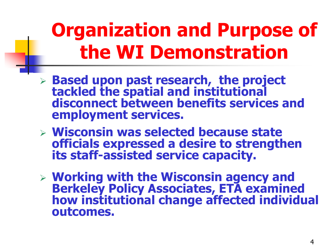### **Organization and Purpose of the WI Demonstration**

- **Based upon past research, the project tackled the spatial and institutional disconnect between benefits services and employment services.**
- **Wisconsin was selected because state officials expressed a desire to strengthen its staff-assisted service capacity.**
- **Working with the Wisconsin agency and Berkeley Policy Associates, ETA examined how institutional change affected individual outcomes.**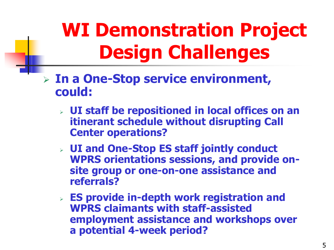## **WI Demonstration Project Design Challenges**

- **In a One-Stop service environment, could:** 
	- **UI staff be repositioned in local offices on an itinerant schedule without disrupting Call Center operations?**
	- **UI and One-Stop ES staff jointly conduct WPRS orientations sessions, and provide onsite group or one-on-one assistance and referrals?**
	- **ES provide in-depth work registration and WPRS claimants with staff-assisted employment assistance and workshops over a potential 4-week period?**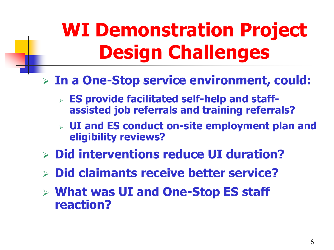## **WI Demonstration Project Design Challenges**

#### **In a One-Stop service environment, could:**

- **ES provide facilitated self-help and staffassisted job referrals and training referrals?**
- **UI and ES conduct on-site employment plan and eligibility reviews?**
- **Did interventions reduce UI duration?**
- **Did claimants receive better service?**
- **What was UI and One-Stop ES staff reaction?**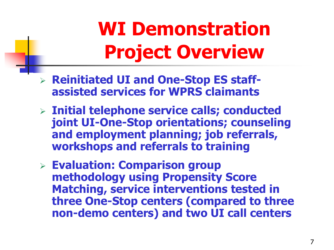## **WI Demonstration Project Overview**

- **Reinitiated UI and One-Stop ES staffassisted services for WPRS claimants**
- **Initial telephone service calls; conducted joint UI-One-Stop orientations; counseling and employment planning; job referrals, workshops and referrals to training**
- **Evaluation: Comparison group methodology using Propensity Score Matching, service interventions tested in three One-Stop centers (compared to three non-demo centers) and two UI call centers**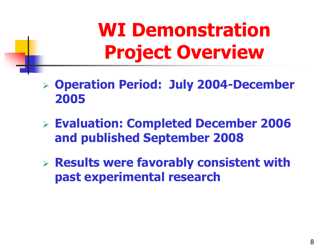### **WI Demonstration Project Overview**

- **Operation Period: July 2004-December 2005**
- **Evaluation: Completed December 2006 and published September 2008**
- **Results were favorably consistent with past experimental research**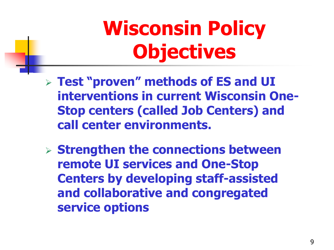# **Wisconsin Policy Objectives**

- **Test "proven" methods of ES and UI interventions in current Wisconsin One-Stop centers (called Job Centers) and call center environments.**
- **Strengthen the connections between remote UI services and One-Stop Centers by developing staff-assisted and collaborative and congregated service options**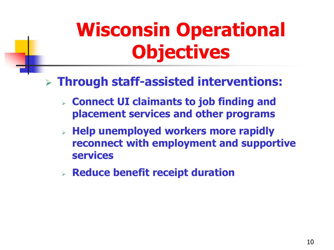## **Wisconsin Operational Objectives**

#### **Through staff-assisted interventions:**

- **Connect UI claimants to job finding and placement services and other programs**
- **Help unemployed workers more rapidly reconnect with employment and supportive services**
- **Reduce benefit receipt duration**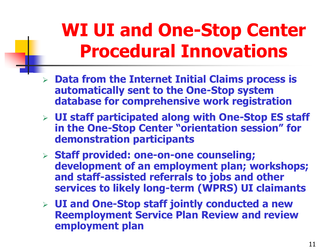### **WI UI and One-Stop Center Procedural Innovations**

- **Data from the Internet Initial Claims process is automatically sent to the One-Stop system database for comprehensive work registration**
- **UI staff participated along with One-Stop ES staff in the One-Stop Center "orientation session" for demonstration participants**
- **Staff provided: one-on-one counseling; development of an employment plan; workshops; and staff-assisted referrals to jobs and other services to likely long-term (WPRS) UI claimants**
- **UI and One-Stop staff jointly conducted a new Reemployment Service Plan Review and review employment plan**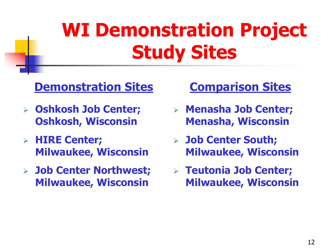## **WI Demonstration Project Study Sites**

#### **Demonstration Sites**

- **Oshkosh Job Center; Oshkosh, Wisconsin**
- **HIRE Center; Milwaukee, Wisconsin**
- **Job Center Northwest; Milwaukee, Wisconsin**

#### **Comparison Sites**

- **Menasha Job Center; Menasha, Wisconsin**
- **Job Center South; Milwaukee, Wisconsin**
- **Teutonia Job Center; Milwaukee, Wisconsin**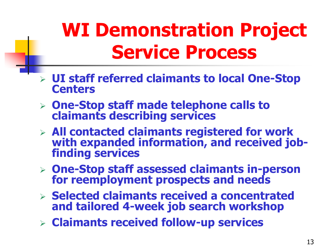### **WI Demonstration Project Service Process**

- **UI staff referred claimants to local One-Stop Centers**
- **One-Stop staff made telephone calls to claimants describing services**
- **All contacted claimants registered for work with expanded information, and received jobfinding services**
- **One-Stop staff assessed claimants in-person for reemployment prospects and needs**
- **Selected claimants received a concentrated and tailored 4-week job search workshop**
- **Claimants received follow-up services**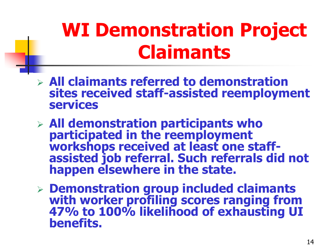### **WI Demonstration Project Claimants**

- **All claimants referred to demonstration sites received staff-assisted reemployment services**
- **All demonstration participants who participated in the reemployment workshops received at least one staffassisted job referral. Such referrals did not happen elsewhere in the state.**
- **Demonstration group included claimants with worker profiling scores ranging from 47% to 100% likelihood of exhausting UI benefits.**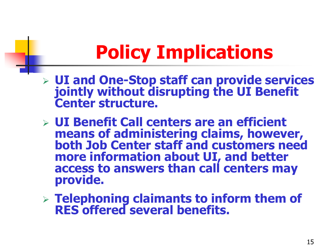### **Policy Implications**

- **UI and One-Stop staff can provide services jointly without disrupting the UI Benefit Center structure.**
- **UI Benefit Call centers are an efficient means of administering claims, however, both Job Center staff and customers need more information about UI, and better access to answers than call centers may provide.**
- **Telephoning claimants to inform them of RES offered several benefits.**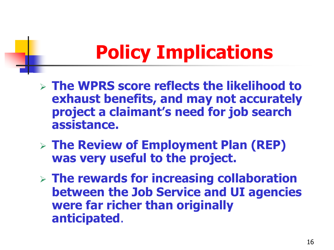### **Policy Implications**

- **The WPRS score reflects the likelihood to exhaust benefits, and may not accurately project a claimant's need for job search assistance.**
- **The Review of Employment Plan (REP) was very useful to the project.**
- **The rewards for increasing collaboration between the Job Service and UI agencies were far richer than originally anticipated**.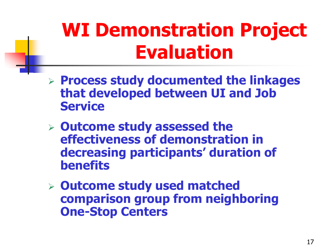### **WI Demonstration Project Evaluation**

- **Process study documented the linkages that developed between UI and Job Service**
- **Outcome study assessed the effectiveness of demonstration in decreasing participants' duration of benefits**
- **Outcome study used matched comparison group from neighboring One-Stop Centers**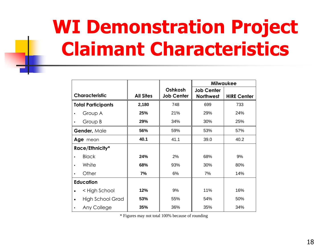### **WI Demonstration Project Claimant Characteristics**

|                           |                  |                              | <b>Milwaukee</b>                      |                    |  |
|---------------------------|------------------|------------------------------|---------------------------------------|--------------------|--|
| <b>Characteristic</b>     | <b>All Sites</b> | Oshkosh<br><b>Job Center</b> | <b>Job Center</b><br><b>Northwest</b> | <b>HIRE Center</b> |  |
| <b>Total Participants</b> | 2,180            | 748                          | 699                                   | 733                |  |
| Group A                   | 25%              | 21%                          | 29%                                   | 24%                |  |
| Group B                   | 29%              | 34%                          | 30%                                   | 25%                |  |
| Gender, Male              | 56%              | 59%                          | 53%                                   | 57%                |  |
| Age mean                  | 40.1             | 41.1                         | 39.0                                  | 40.2               |  |
| Race/Ethnicity*           |                  |                              |                                       |                    |  |
| <b>Black</b>              | 24%              | 2%                           | 68%                                   | 9%                 |  |
| White                     | 68%              | 93%                          | 30%                                   | 80%                |  |
| Other                     | 7%               | 6%                           | 7%                                    | 14%                |  |
| <b>Education</b>          |                  |                              |                                       |                    |  |
| < High School             | 12%              | 9%                           | 11%                                   | 16%                |  |
| <b>High School Grad</b>   | 53%              | 55%                          | 54%                                   | 50%                |  |
| Any College               | 35%              | 36%                          | 35%                                   | 34%                |  |

\* Figures may not total 100% because of rounding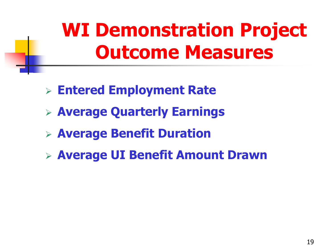### **WI Demonstration Project Outcome Measures**

- **Entered Employment Rate**
- **Average Quarterly Earnings**
- **Average Benefit Duration**
- **Average UI Benefit Amount Drawn**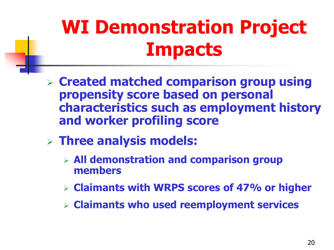## **WI Demonstration Project Impacts**

- **Created matched comparison group using propensity score based on personal characteristics such as employment history and worker profiling score**
- **Three analysis models:** 
	- **All demonstration and comparison group members**
	- **Claimants with WRPS scores of 47% or higher**
	- **Claimants who used reemployment services**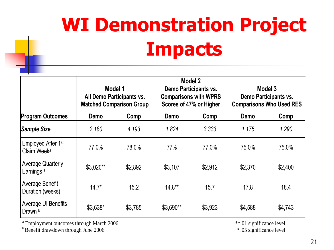# **WI Demonstration Project Impacts**

|                                                           | Model 1<br>All Demo Participants vs.<br><b>Matched Comparison Group</b> |         | Model 2<br>Demo Participants vs.<br><b>Comparisons with WPRS</b><br>Scores of 47% or Higher |         | Model 3<br>Demo Participants vs.<br><b>Comparisons Who Used RES</b> |         |
|-----------------------------------------------------------|-------------------------------------------------------------------------|---------|---------------------------------------------------------------------------------------------|---------|---------------------------------------------------------------------|---------|
| <b>Program Outcomes</b>                                   | Demo                                                                    | Comp    | Demo                                                                                        | Comp    | Demo                                                                | Comp    |
| <b>Sample Size</b>                                        | 2,180                                                                   | 4,193   | 1,824                                                                                       | 3,333   | 1,175                                                               | 1,290   |
| Employed After 1 <sup>st</sup><br>Claim Week <sup>a</sup> | 77.0%                                                                   | 78.0%   | 77%                                                                                         | 77.0%   | 75.0%                                                               | 75.0%   |
| <b>Average Quarterly</b><br><b>Earnings</b> <sup>a</sup>  | $$3.020**$                                                              | \$2,892 | \$3,107                                                                                     | \$2,912 | \$2,370                                                             | \$2,400 |
| Average Benefit<br>Duration (weeks)                       | $14.7*$                                                                 | 15.2    | $14.8**$                                                                                    | 15.7    | 17.8                                                                | 18.4    |
| <b>Average UI Benefits</b><br>Drawn b                     | \$3,638*                                                                | \$3,785 | \$3,690**                                                                                   | \$3,923 | \$4,588                                                             | \$4,743 |

<sup>a</sup> Employment outcomes through March 2006 \*\*\*.01 significance level

 $b^{\text{B}}$  Benefit drawdown through June 2006  $\cdot$  .05 significance level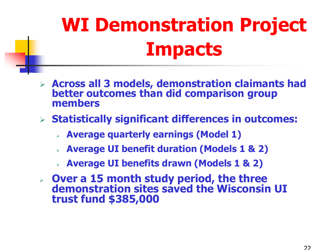# **WI Demonstration Project Impacts**

- **Across all 3 models, demonstration claimants had better outcomes than did comparison group members**
- **Statistically significant differences in outcomes:** 
	- **Average quarterly earnings (Model 1)**
	- **Average UI benefit duration (Models 1 & 2)**
	- **Average UI benefits drawn (Models 1 & 2)**
- **Over a 15 month study period, the three demonstration sites saved the Wisconsin UI trust fund \$385,000**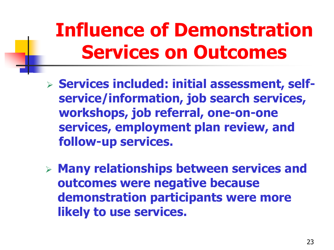### **Influence of Demonstration Services on Outcomes**

- **Services included: initial assessment, selfservice/information, job search services, workshops, job referral, one-on-one services, employment plan review, and follow-up services.**
- **Many relationships between services and outcomes were negative because demonstration participants were more likely to use services.**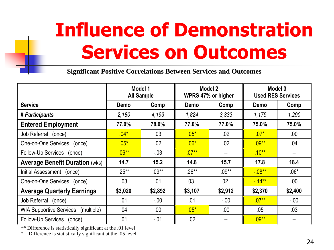### **Influence of Demonstration Services on Outcomes**

**Significant Positive Correlations Between Services and Outcomes** 

|                                              | Model 1<br><b>All Sample</b> |         | Model 2<br>WPRS 47% or higher |          | Model 3<br><b>Used RES Services</b> |         |
|----------------------------------------------|------------------------------|---------|-------------------------------|----------|-------------------------------------|---------|
| <b>Service</b>                               | Demo                         | Comp    | Demo                          | Comp     | Demo                                | Comp    |
| # Participants                               | 2,180                        | 4,193   | 1,824                         | 3,333    | 1,175                               | 1,290   |
| <b>Entered Employment</b>                    | 77.0%                        | 78.0%   | 77.0%                         | 77.0%    | 75.0%                               | 75.0%   |
| Job Referral (once)                          | $.04*$                       | .03     | $.05*$                        | .02      | $.07*$                              | .00.    |
| One-on-One Services<br>(once)                | $.05*$                       | .02     | $.06*$                        | .02      | $.09***$                            | .04     |
| Follow-Up Services (once)                    | $.06***$                     | $-03$   | $.07***$                      |          | $.10***$                            |         |
| <b>Average Benefit Duration (wks)</b>        | 14.7                         | 15.2    | 14.8                          | 15.7     | 17.8                                | 18.4    |
| Initial Assessment (once)                    | $.25***$                     | $.09**$ | $.26**$                       | $.09***$ | $-08**$                             | $.06*$  |
| One-on-One Services (once)                   | .03                          | .01     | .03                           | .02      | $-14**$                             | .00.    |
| <b>Average Quarterly Earnings</b>            | \$3,020                      | \$2,892 | \$3,107                       | \$2,912  | \$2,370                             | \$2,400 |
| Job Referral<br>(once)                       | .01                          | $-0.00$ | .01                           | $-00 -$  | $.07***$                            | $-0.00$ |
| <b>WIA Supportive Services</b><br>(multiple) | .04                          | .00.    | $.05*$                        | .00.     | .05                                 | .03     |
| Follow-Up Services (once)                    | .01                          | $-.01$  | .02                           |          | $.09***$                            |         |

\*\* Difference is statistically significant at the .01 level

\* Difference is statistically significant at the .05 level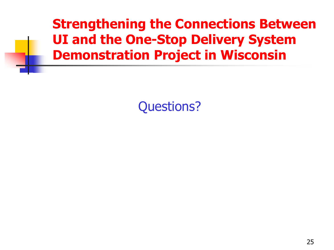**Strengthening the Connections Between UI and the One-Stop Delivery System Demonstration Project in Wisconsin** 

Questions?